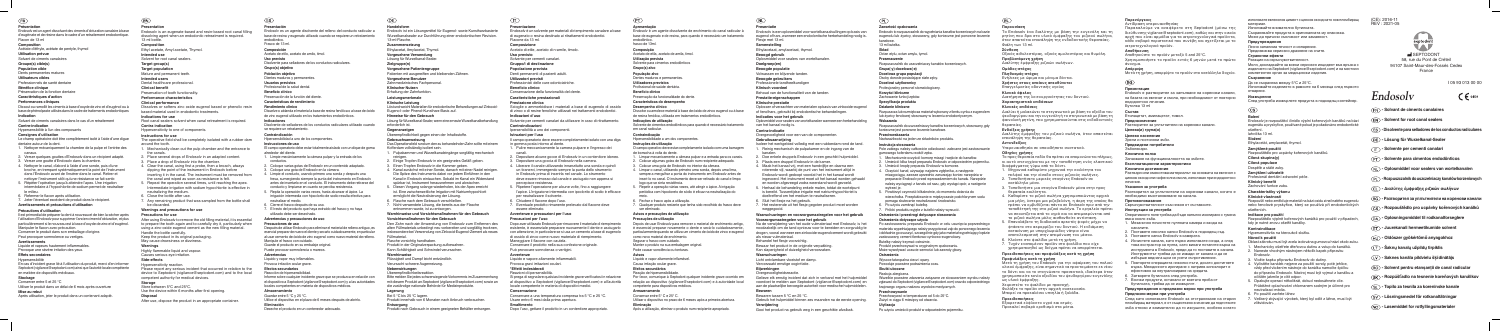**Présentation**<br>Endosolv est un agent dissolvant des ciments d'obturation canalaire à base d'eugénate et de résine dans le cadre d'un retraitement endodontique. Flacon de 13 ml

#### **Composition**

Acétate d'éthyle, acétate de pentyle, thymol **Utilisation** prévue

Solvant de ciments canalaires

#### Groupe(s) cible(s)

**Population cible** Dents permanentes matures

#### Caractéristiques d'action **cliniques Performances**

Dissout ou ramollit les ciments à base d'oxyde de zinc et d'eugénol ou à base de phénolpaste utilisés dans le cadre de traitements endodontiques

## **cibles Utilisateurs**

Professionnels de santé dentaire

**Bénéfice clinique** 

Préservation de la fonction dentaire

#### **Indication**

Solvant de ciments canalaires dans le cas d'un retraitement

**Contre-indication** 

## Hypersensibilité à l'un des composants

**Consignes d'utilisation** 

Le champ opératoire doit être complètement isolé à l'aide d'une dique dentaire autour de la dent.

- 1. Nettoyer mécaniquement la chambre de la pulpe et l'entrée des .canaux
- 2. Verser quelques gouttes d'Endosolv dans un récipient adapté.
- 3. Verser une goutte d'Endosoly dans la chambre.
- 4. Nettover le canal, d'abord à l'aide d'une sonde, puis d'une broche, en trempant systématiquement la point de l'instrument dans l'Endosolv avant de l'insérer dans le canal. Retirer et nettoyer l'instrument sitôt qu'une résistance se fait sentir.
- 5. Répéter l'opération jusqu'à atteindre l'apex. Une irrigation intermédiaire à l'hypochlorite de sodium permet de neutraliser le milieu
- 6. Refermer le flacon après utilisation.
- 7. Jeter l'éventuel excédent de produit dans le récipient.

## **Avertissements et précautions d'utilisation**

### **Précautions d'utilisation**

Il est primordial de préparer la dent à nouveau et de bien la sécher après l'utilisation d'Endosoly pour supprimer l'ancien ciment d'obturation, et plus particulièrement si le nouveau est à base d'oxyde de zinc et d'eugénol. Manipuler le flacon avec précaution. Conserver le produit dans son emballage d'origine

Peut provoquer somnolence ou vertiges.

- **Intended** use Solvent for root canal sealers
- **Target group(s)**
- **Target population**
- Mature and permanent teeth.
- **untended** users
- Dental healthcare professional.
- **benefit Clinical**
- Preservation of tooth functionality
- **characteristics Performance**

Root canal sealers solvent when canal retreatment is required **indication Contra**

#### Hypersensitivity to one of components.

**Instructions for use** The operative field shall be completely isolated with a rubber dam

## around the tooth.

- 1. Mechanically clean out the pulp chamber and the entrance to the canals
- 2. Place several drops of Endosolv in an adapted content.
- 3. Place a drop of Endosolv into the chamber.
- 4. Clear the canal, using first a probe, then a broach, always dipping the point of the instrument in Endosoly before inserting it in the canal. The instrument must be removed from the canal and wiped as soon as resistance is felt.
- 5. Repeat the operation several times, until reaching the apex. Intermediate irrigation with sodium hypochlorite is effective in neutralizing the medium.
- 6. Close the bottle after use.
- 7. Any remaining product that was sampled from the bottle shall be discarded.

#### **Warnings and precautions for use**

#### **Precautions for use**

After using Endosolv to remove the old filling material, it is essential to prepare the tooth again and to carefully dry it, particularly when using a zinc-oxide eugenol cement as the new filling material. Handle the bottle carefully. Keep the product in its original packaging

May cause drowsiness or dizziness.

#### **Avertissements**

Liquide et vapeurs hautement inflammables.

Provoque une sévère irritation des yeux.

## **Effets secondaires**

Hypersensibilité

En cas d'incident grave lié à l'utilisation du produit, merci d'en informer Septodont (vigilance@septodont.com) ainsi que l'autorité locale compétente en matière de dispositifs médicaux.

#### **Stockage**

Conserver entre 5 et 25 °C Utiliser le produit dans un délai de 6 mois après ouverture

#### **Storage** Store between  $5^{\circ}$ C and  $25^{\circ}$ C.

Use the device within 6 months after first opening. **Disposal**

After use, dispose the product in an appropriate container.

# $(ES)$

#### **rebut au Mise**

Après utilisation, jeter le produit dans un contenant adapté.

#### **Presentation**

**Composición** Acetato de etilo, acetato de amilo, timol.

Endosoly is an eugenate-based and resin-based root canal filling dissolving agent when an endodontic retreatment is required. 13 ml hottle

> **previstos Usuarios** Profesional de la salud dental

**clínico Beneficio** Preservación de la función del diente **Características de rendimiento** 

### **Composition**

Ethyl acetate, Amyl acetate, Thymol.

### **performance Clinical**

Dissolves or softens zinc oxide eugenol based or phenolic resin based material used in endodontic treatments.

#### **Indications** for use

**Almacenamiento** Guardar entre 5 °C y 25 °C. 13-ml-Flasche. **Zusammensetzung**

**Benutzer Vorgesehene** Zahnmedizinisches Fachpersonal

**Hinweise für den Gebrauch** 

**Klinischer Nutzen** Erhaltung der Zahnfunktion **Leistungsmerkmale Leistung Klinische**

erforderlich ist. **Gegenanzeigen**

### **Warnings**

Highly flammable liquid and vapour. Causes serious eye irritation

#### Side-effects

#### Hypersensitivity reaction

Please report any serious incident that occurred in relation to the device to Septodont (vigilance@septodont.com) and to the local competent authority for medical devices.

#### **Presentación**

Endosoly es un agente disolvente del relleno del conducto radicular a base de resina y eugenato utilizado cuando se requiere un retratamiento .endodóntico Frasco de 13 ml.

**Composizione** Acetato di etile, acetato di n-amile, timolo.

**previsto Uso**

Disolvente para selladores de los conductos radiculares. Grupo(s) objetivo

Población objetivo Dientes maduros y permanentes

> Professionisti delle cure odontoiatriche. **clinico Beneficio**

Conservazione della funzionalità del dente. **prestazionali Caratteristiche**

## **clínico Rendimiento**

Disuelve o ablanda el material a base de resina fenólica o a base de óxido de zinc eugenol utilizado en los tratamientos endodónticos.

> Lösung für Wurzelkanal-Sealer, wenn eine erneute Wurzelkanalbehandlung Solvente per cementi canalari da utilizzare in caso di ritrattamento. **Controindicazioni**

Ipersensibilità a uno dei componenti. **Istruzioni per l'uso** 

- ll campo operatorio deve essere completamente isolato con una diga in gomma posta intorno al dente.
- . Pulire meccanicamente la camera pulpare e l'ingresso de .canali
- 1. Pulpakammer und Wurzelkanaleingänge sorgfältig mechanisch
- . Depositare alcune gocce di Endosolv in un contenitore idoneo.
- 3. Depositare una goccia di Endosolv nella camera.
- 4. Liberare il canale utilizzando innanzitutto una sonda e quindi un tiranervi, immergendo sempre la punta dello strumento in Endosolv prima di inserirla nel canale. Lo strumento deve essere rimosso dal canale e asciugato non appena si percepisce resistenza.
- . Ripetere l'operazione per alcune volte, fino a raggiungere l'apice. L'irrigazione intermedia con ipoclorito di sodio è efficace ner neutralizzare il solvente.
- 6. Chiudere il flacone dopo l'uso.
- deventuale prodotto rimanente prelevato dal flacone deventuale prodotto rimanente prele essere eliminato.

## Avvertenze e precauzioni per l'uso

### **Precauzioni per l'uso**

Den Zahn nach der Anwendung von Endosolv zum Entfernen des alten Füllmaterials unbedingt neu vorbereiten und sorgfältig trocknen, insbesondere bei Verwendung von Zinkoxid-Eugenol-Zement als neues Dopo aver utilizzato Endosoly per rimuovere il materiale di riempimento esistente, è essenziale preparare nuovamente il dente e asciugarlo con attenzione, in particolare se si usa un cemento a base di eugenolo di ossido di zinco come nuovo materiale di riempimento. Maneggiare il flacone con cautela. Conservare il prodotto nella sua confezione originale. Può provocare sonnolenza o vertigini.

#### **Indicaciones**

Disolvente de selladores de los conductos radiculares utilizado cuando se requiere un retratamiento.

**Contraindicación**

#### Hipersensibilidad a uno de los componentes. **Instrucciones** de uso

neutralizar el medio. 6. Cierre el frasco después de su uso.

**Precauciones** de uso

Endosolv é um agente dissolvente de enchimento do canal radicular à base de eugenato e de resina, para quando é necessário um tratamento .endodôntico frasco de 13 ml. **Composição**

Acetato de etila, acetato de amila, timol **prevista Utilização**

Solvente para cimentos endodônticos

Grupo(s) alvo População alvo

Dentes maduros e permanentes **previstos Utilizadores**

Profissional de saúde dentária.

**clínico Desempenho** Dissolve ou amolece material à base de óxido de zinco eugenol ou à base de resina fenólica, utilizada em tratamentos endodônticos.

#### **utilização de Instruções** O campo operativo deve estar completamente isolado com uma barragem

de borracha à volta do dente.

- . Limpar mecanicamente a câmara pulpar e a entrada para os canais.
- Colocar algumas gotas de Endosolv num recipiente adequado.
- 3. Colocar uma gota de Endosolv no interior da câmara.
- 4. Limpar o canal, utilizando primeiro uma sonda, depois uma lima, sempre a mergulhar a ponta do instrumento em Endosoly antes de inseri-lo no canal. O instrumento deve ser retirado do canal e limpo logo que se sinta resistência.
- Repetir a operação várias vezes, até atingir o ápice. A irrigação periódica com hipocloreto de sódio é eficaz na neutralização do
- .meio 6. Fechar o frasco após a utilização.
- 7. Qualquer produto restante que tenha sido recolhido do frasco deve ser eliminado.

#### Avisos e precauções de utilização

**Advertencias**

**Eliminación**

utilizado debe ser desechado. Advertencias y precauciones de uso

Manipule el frasco con cuidado. Guarde el producto en su embalaje original. Puede provocar somnolencia o mareos

Líquido y vapor muy inflamables. Provoca irritación ocular grave. **secundarios Efectos** Beacción de hipersensibilidad

El campo operatorio debe estar totalmente aislado con un dique de goma alrededor del diente

- 1. Limpie mecánicamente la cámara pulpar y la entrada de los .conductos
- 2. Coloque varias gotas de Endosolv en un contenido adaptado.
- 3. Coloque una gota de Endosoly en la cámara.

4. Limpie el conducto, usando primero una sonda y después una fresa, sumergiendo siempre la punta del instrumento en Endosol antes de insertarlo en el conducto. El instrumento debe retirarse del conducto y limpiarse en cuanto se perciba resistencia. 5. Repita la operación varias veces, hasta alcanzar el ápice. La irrigación intermedia con hipoclorito de sodio resulta efectiva para

7. El resto del producto que haya extraído del frasco y no haya

Después de utilizar Endosoly para eliminar el material de relleno antiquo, es esencial preparar de nuevo el diente y secarlo cuidadosamente, en particular al usar cemento de óxido de zinc eugenol como nuevo material de relleno.

Informe sobre cualquier incidente grave que se produzca en relación con el dispositivo a Septodont (vigilance @septodont.com) y a las autoridades

locales competentes en materia de dispositivos médicos.

Deseche el producto en un contenedor adecuado.

Utilice el dispositivo en el plazo de 6 meses después de abrirlo.

## $(T)$

**Handelsform**

#### Utilizar o dispositivo no prazo de 6 meses após a primeira abertura. **Eliminação**

Após a utilização, eliminar o produto num recipiente apropriado

## $\widehat{N}$

**Samenstelling** Ethylacetaat, amylacetaat, thymol.

**Beoogd** gebruik Oplosmiddel voor sealers van wortelkanalen.

Doelgroep(en) **Beoogde** populatie Volwassen en blijvende tanden

**(n(Zielgruppe**

Ethylacetat, Amylacetat, Thymol. **Verwendung Vorgesehene** Lösung für Wurzelkanal-Sealer

**Patientengruppe Vorgesehene**

**prestatie Klinische** Oplossen of verzachten van materialen op basis van zinkoxide-eugenol of fenolhars, gebruikt bij endodontische behandelingen.

#### **Indicaties voor het gebruik**

Oplosmiddel voor sealers van wortelkanalen wanneer een herbehandeling van het kanaal nodig is.

#### Contra-indicatie

Overgevoeligheid voor een van de componenten.

**Gebrauchsanweisung**

Kofferdam vollständig isoliert sein.

.reinigen

**Korzyści kliniczne** Zachowanie funkcji zębów. Specyfikacia produktu **kliniczne Działanie**

.Füllmaterial

**Warnhinweise**

**Nebenwirkungen** .Überempfindlichkeitsreaktion

Bei 5 °C bis 25 °C lagern.

Flasche vorsichtig handhaben.

Patienten mit ausgereiften und bleibenden Zähnen.

Uberempfindlichkeit gegen einen der Inhaltsstoffe.

ermöglicht die Neutralisierung der Lösung. 6. Flasche nach dem Gebrauch verschließen

entnommen wurde, ist zu entsorgen.

**/orsichtsmaßnahmen für den Gebrauch** 

Produkt in der Originalverpackung aufbewahren. Kann Schläfrigkeit und Schwindel verursachen.

die zuständige nationale Behörde für Medizinprodukte.

Produkt innerhalb von 6 Monaten nach Anbruch verbrauchen.

Produkt nach Gebrauch in einem geeigneten Behälter entsorgen.

Flüssigkeit und Dampf leicht entzündlich Verursacht schwere Augenreizung.

2. Einige Tropfen Endosolv in ein geeignetes Gefäß geben 3. Einen Tropfen Endosolv in die Kammer geben.

Flasche der aus der Flasche der aus der aus der Flasche

Warnhinweise und Vorsichtsmaßnahmen für den Gebrauch

Löst und weicht Materialien für endodontische Behandlungen auf Zinkoxid-<br>Eugenol- oder Phenol-Kunstharz-Basis auf.

Das Operationsfeld rund um den zu behandelnden Zahn sollte mit einem

4. Kanal zunächst mit einer Sonde, danach mit einer Nadel reinigen. Die Spitze des Instruments dabei vor jedem Einführen in den Kanal in Endosolv eintauchen. Sobald im Kanal ein Widerstand spürbar ist, Instrument herausnehmen und abwischen. 5. Diesen Vorgang solange wiederholen, bis der Apex erreicht ist. Eine zwischenzeitliche Irrigation mit Natriumhypochlorit

**Lagerung**

**Entsorgung**

### **Presentazione**

Endosolv ist ein Lösungsmittel für Eugenol- sowie Kunstharzbasierte Wurzelkanalsealer zur Durchführung einer endodontischen Revision.

Endosoly è un solvente per materiali di riempimento canalare a base di eugenato o resina destinato ai ritrattamenti endodontici. Flacone da 13 ml.

#### **previsto Uso**

Solvente per cementi canalari.

**Gruppo/i di destinazione Popolazione** prevista

Denti permanenti di pazienti adulti

. Οξικός αιθυλεστέρας, οξικός αμυλεστέρας και θυμόλη **χρήση Προβλεπόμενη**

Διαλύτης έμφραξης ριζικών σωλήνων. **στόχος-Ομάδες**

**στόχος-Πληθυσμός** Ενήλικες με ώριμα και μόνιμα δόντια

#### **previsti Utilizzatori**

Επαγγελματίες οδοντικής υγείας **όφελος Κλινικό**

Διατήρηση της λειτουργικότητας του δοντιού.

#### **clinica Prestazione**

Scioglie o ammorbidisce i materiali a base di eugenolo di ossido di zinco o di resine fenoliche utilizzati nei trattamenti endodontici.

### Indicazioni d'uso

Διαλύει ή μαλακώνει το στεγανωτικό με βάση το οξείδιο του υευδαργύρου και την ευνενόλη ή το στενανωτικό με βάση τη φαινολική ρητίνη, που χρησιμοποιούνται στις ενδοδοντικές .θεραπείες

. Aποθηκεύστε το προϊόν μεταξύ 5 and 25° Χρησιμοποιήστε το προϊόν εντός 6 μηνών μετά το πρώτο .άνοιγμα

**население Целево** Зрели и постоянни зъби.

Запазване на функционалността на зъбите. **характеристики Експлоатационни**

Разтваря или омекотява материалът на основата на евгенол с цинков оксид или на фенолна смола, използван при ендодонтско .лечение

#### **Avvertenze**

Liquido e vapore altamente infiammabili Provoca gravi irritazioni oculari

#### **\*Effetti indesiderati**

Reazioni di ipersensibilità.

Bitte melden Sie jedes schwerwiegende Vorkommnis im Zusammenhang mit diesem Produkt an Septodont (vigilance@septodont.com) sowie an Si prega di segnalare qualsiasi incidente grave verificatosi in relazione al dispositivo a Septodont (vigilance@septodont.com) e all'autorità locale competente in materia di dispositivi medici.

#### **Conservazione**

Conservare a una temperatura compresa tra 5  $^{\circ}$ C e 25  $^{\circ}$ C. Usare entro 6 mesi dalla prima apertura.

#### **Smaltimento**

Dopo l'uso, gettare il prodotto in un contenitore appropriato

## $(PT)$

използвате евгенолов цимент с цинков оксид като нов пломбираш .материал

Използвайте внимателно бутилката. Съхранявайте продукта в оригиналната му опаковка. Може да причини сънливост или замаяност.

#### **Apresentação**

Да се съхранява между 5°С и 25°С. Използвайте изделието в рамките на 6 месеца след първото .отваряне

**Cílová skupina(y) populace Cílová**

Dospělé a stálé zuby. zamýšlení uživatelé

Profesionál dentální zdravotní péče.

#### **clínico Benefício**

Preservação da funcionalidade do dente. **Características do desempenho** 

**benefit Klinický** Zachování funkce zubu. **Charakteristiky** výkonu

#### **utilização de Indicações**

Solvente de cimentos endodônticos para quando é necessário tratamento em canal radicular.

## **Contraindicação**

Hipersensibilidade a um dos componentes.

- . Mechanicky ošetřete dřeňovou dutinu a vstup do kanálků. 2. Naneste vhodným nástrojem několik kapek přípravku .Endosolv
- 3. Vložte kapku přípravku Endosoly do dutiny.
- 4. Vyčistěte kanálek nejprve za použití sondy, poté jehlice vždy před vložením nástroje do kanálku namočte špičku do přípravku Endosolv. Nástroj musí být vyjmut z kanálku a očištěn jakmile je cítit odpor.
- 5. Opakujte operaci několikrát, dokud nedosáhnete cíle Průběžné oplachování chlornanem sodným je účinné pro neutralizaci média
- 6. Po použití zavřete láhev.
- Veškerý zbývající výrobek, který byl odlit z láhve, musí být .zlikvidován

 $\widehat{\text{s}}$   $\widehat{\text{}}$  - Disolvente para selladores de los conductos radiculares

**canalaires** - Solvant de ciments canalaires  $(FN)$  - Solvent for root canal sealers

Endosol<sup>,</sup>

 $(CF)$ : 2016-11 REV : 2021-05

> **M** SEPTODONT 58, rue du Pont de Créteil 94107 Saint-Maur-des-Fossés Cedex France

**(DE) - Lösung für Wurzelkanal-Sealer ci c***c* **c***c***<b>***c* **c***c* **c***c* **c***c* **c***c* **c***c* **c***c* **c** 

 $(PT)$  - Solvente para cimentos endodônticos

L  $)$  - Διαλύτης έμφραξης ριζικών σωλήνων

 $(DA)$  - Opløsningsmiddel til rodkanalforseglere **(ET)** - Juurekanali hermeetikumide solvent  $(HI)$  - Oldószer gyökértömő anyagokho

**(LT) - Šaknų kanalų užpildų tirpiklis** 

 $\left(\mathsf{LV}\right)$  - Saknes kanāla pildvielu šķīdinātājs

**kanale (SL)** - Topilo za tesnila za koreninske kanale **(SV)** - Lösningsmedel för rotkanaltätninga  $\widehat{NQ}$  - Løsemiddel for rotfyllingsmaterial

(NL) - Oplosmiddel voor sealers van wortelkanaler **(PL)** - Rozpuszczalnik do uszczelniaczy kanałów korzeniowyc ) **- Разтворител за уплътнители на коренови канали** 

 $\lambda$ s) - Rozpouštědlo pro ucpávky kořenových kanálků

 $(RO)$  - Solvent pentru etansanții de canal radicular

**(SK)** - Rozpúšťadlo na tesnenie koreňových kanálikov

#### **utilização de Precauções**

Depois de usar Endosoly para remover o material de enchimento antigo. é essencial preparar novamente o dente e secá-lo cuidadosamente particularmente quando se utiliza um cimento de óxido de zinco e eugenol como novo material de enchimento. Segurar o frasco com cuidado. Manter o produto na sua embalagem original Pode causar sonolência ou tonturas.

#### **Avisos**

Líquido e vapor altamente inflamável. Causa irritação ocular grave

### **secundários Efeitos**

Reação de hipersensibilidade. Por favor, comunique à Septodont qualquer incidente grave ocorrido em relação ao dispositivo (vigilance@septodont.com) e à autoridade local competente para dispositivos médicos.

## **Armazenamento**

Conservar entre  $5^{\circ}$  C e 25 $^{\circ}$  C.

#### **Presentatie**

Endosoly is een oplosmiddel voor wortelkanaalvullingen op basis van eugenol of hars, wanneer een endodontische herbehandeling nodig is. Flesje met 13 ml.

**gebruikers Beoogde**

Professionele tandheelkundigen **voordeel Klinisch** Behoud van de functionaliteit van de tanden.

## **Prestatie-eigenschappen**

#### **Gebruiksaanwijzing**

- Isoleer het werkgebied volledig met een rubberdam rond de tand. 1. Reinig mechanisch de pulpakamer en de ingang van de
- .kanalen 2. Doe enkele druppels Endosolv in een geschikt hulpmiddel.
- 3. Plaats een druppel Endosoly in de kamer.
- 4. Maak het kanaal vrij, met een handvijltje en daarna een roterende viil, waarbij de punt van het instrument altijd in Endosoly wordt gedoopt voordat het in het kanaal wordt ingevoerd. Het instrument moet uit het kanaal worden gehaald en worden afgeveegd zodra weerstand wordt gevoeld.
- 5. Herhaal de behandeling enkele malen, totdat de wortelpunt is bereikt. Tussentijdse irrigatie met natriumhypochloriet is doeltreffend om het medium te neutraliseren.
- 6. Sluit het flesje na het gebruik.

als nieuw vulmateriaal Behandel het flesje voorzichtig.

**Waarschuwingen**

**Bijwerkingen**

.Overgevoeligheidsreactie

Bewaren tussen 5 °C en 25 °C.

7. Het resterende uit het flesje gegoten product moet worden .weggegooid Waarschuwingen en voorzorgsmaatregelen voor het gebruik

Na de verwijdering van het oude vulmateriaal met Endosolv, is het noodzakelijk om de tand opnieuw voor te bereiden en zorgvuldig te drogen, vooral wanneer een zinkoxide-eugenolcement wordt gebruikt

Gelieve elk ernstig incident dat zich in verband met het hulpmiddel voordoet te melden aan Septodont (vigilance@septodont.com) en aan de plaatselijke bevoegde autoriteit voor medische hulpmiddelen.

Gebruik het hulpmiddel binnen zes maanden na de eerste opening.

Gooi het product na gebruik weg in een geschikte afvalbak

**Bewaren**

**Verwijdering**

Voorzorgsmaatregelen voor het gebruik

Bewaar het product in de originele verpakking Kan slaperigheid of duizeligheid veroorzaken.

Licht ontvlambare vloeistof en damp Veroorzaakt ernstige oogirritatie.

**opakowania Zawartość**

Octan etylu, octan amylu, tymol.

**Grupa(-v)** docelowa(-e) **populacji grupa Docelowa** Osoby dorosłe posiadające stałe zeby.

.kanałowe 13 ml butelka. **Skład**

 $\bigcap$ 

**Przeznaczenie**

Bazie na korzeniowych kanałów korzeniowych na bazie eugenolu lub żywicy, stosowany, gdy konieczne jest ponowne leczenie

Rozpuszczalnik do uszczelniaczy kanałów korzeniowych.

lub żywicy fenolowej stosowany w leczeniu endodontycznym.

Rozpuszczalnik do uszczelniaczy kanałów korzeniowych, stosowany, gdy

Pole zabiegu należy całkowicie odizolować: zalecane jest zastosowanie

. Mechanicznie oczyścić komorę miazgi i wejście do kanałów. 2. Umieścić kilka kropli preparatu Endosoly w odpowiednim pojemniku.

5. Powtórzyć czynność kilkakrotnie, do momentu dotarcia do wierzchołka. Przepłukiwanie w międzyczasie podchlorynem sodu

Po zastosowaniu preparatu Endosoly w celu usuniecia poprzedniego materiału wypełniającego należy przygotować ząb do ponownego leczenia i dokładnie go osuszyć, szczególnie gdy jako materiał wypełniający będzie

Wszelkie poważne zdarzenia związane ze stosowaniem wyrobu należy załaszać do Septodont (vigilance@septodont com) oraz do odpowiedniego

pomaga skutecznie neutralizować środowisko.

7. Próbki produktu wyjęte z butelki należy wyrzucić. **Ostrzeżenia i przestrogi dotyczące stosowania** 

zastosowany cement tlenkowo-cynkowo-eugenolowy.

Produkt przechowywać w oryginalnym opakowaniu. Może wywoływać uczucie senności lub zawroty głowy

krajowego organu nadzoru wyrobów medycznych.

Po użyciu umieścić produkt w odpowiednim pojemnik

Przechowywać w temperaturze od 5 do 25°C. Zużyć w ciągu 6 miesięcy od otwarcia.

**użytkownicy Docelowi**

**Wskazania**

Profesionalny personel stomatologiczny

konieczne jest ponowne leczenie kanałowe.

Nadwrażliwość na jeden ze składników produktu.

3. Umieścić krople preparatu Endosoly w komorze. 4. Oczyścić kanał, używając najpierw zgłębnika, a następnie miazgociągu, zawsze uprzednio zanurzając koniec narzędzia w

**Przeciwwskazania**

wytrzeć je

**stosowania Instrukcja**

gumowego koferdamu wokół zeba

6. Po użyciu zamknąć butelkę.

**Ostrzeżenia dotyczące użycia** 

Butelkę należy trzymać ostrożnie.

Wysoce łatwopalna ciecz i opary. Powoduje poważne podrażnienia oczu.

**Ostrzeżenia**

**Skutki uboczne** Reakcia alergiczna.

**Przechowywanie**

**Utylizacja**

#### **Παρουσίαση**

Το Endosolv ένα διαλύτης με βάση την ευγενόλη και τη ρητίνη που δρα στο υλικό έμφραξης του ριζικού σωλήνα. . όταν απαιτείται επανάληψη της ενδοδοντικής θεραπείας. Φιάλη των 13 ml.

#### **Σύνθεση**

**απευθύνεται οποίους στους Χρήστες**

#### **επιδόσεων Χαρακτηριστικά επιδόσεις Κλινικές**

Rozpuszcza lub rozmiękcza materiał wykonany z tlenku cynku z eugenolem

#### **χρήσης Ενδείξεις**

Διαλύτης έμφραξης του ριζικού σωλήνα, όταν απαιτείται επανάληψη της θεραπείας.

#### **Αντενδείξεις**

Υπερευαισθησία σε οποιοδήποτε συστατικό.

#### **χρήσης Οδηγίες**

Το προς θεραπεία πεδίο θα πρέπει να απομονώνεται πλήρω κι αυτό επιτυγχάνεται με την τοποθέτηση ενός ελαστικο διαφράγματος γύρω από το δόντι.

- 1. Μηχανικά καθαρίστε μηχανικά την κοιλότητα του πολφού και την είσοδο στους ριζικούς σωλήνες. 2. Τοποθετήσετε μερικές σταγόνες Endosolv σε
- preparacie Endosolv przed wprowadzeniem do kanału. Narzędzie należy wyciągnąć z kanału od razu, gdy wystąpi opór, a następnie
- κατάλληλο μέσο. 3. Τοποθετήστε μια σταγόνα Endosolv μέσα στην προς .κοιλότητα θεραπεία
- 4. Καθαρίστε το ριζικό σωλήνα χρησιμοποιώντας αρχικά μια μήλη, ύστερα μια ριζοβελόνη, η άκρη της οποίας θα πρέπει να εμβυθίζεται πάντα σε Endosolv πριν από την τοποθέτησή της στο ριζικό σωλήνα. Το εργαλείο πρέπει να σκουπίζεται από το υγρό και να απομακρύνεται από το ριζικό σωλήνα μόλις αισθανθείτε αντίσταση.
- 5. Επαναλάβετε τη διαδικασία αρκετές φορές μέχρι να φτάσετε στο ακρορρίζιο του δοντιού. Η ενδιάμεση καταιόνιση με υπερχλωριώδες νάτριο είναι αποτελεσματική στην απομόνωση του μέσου.
- 6. Κλείστε στο φιαλίδιο μετά τη χρήση.
- 7. Τυχόν εναπομένον προϊόν στο φιαλίδιο που είχε χρησιμοποιηθεί ως δείγμα πρέπει να απορρίπτεται

#### **χρήση τη κατά προφυλάξεις και Προειδοποιήσεις χρήση τη κατά Προφυλάξεις**

Μετά τη χρήση του Endosolv για την αφαίρεση του παλιού υλικού έμφραξης, είναι σημαντικό να προετοιμάσετε εκ νέου το δόντι και να το στεννώσετε προσεκτικά. ιδιαίτερα όταν χρησιμοποιείτε κονία οξειδίου του ψευδαργύρου-ευγενόλης . ως υλικό έμφραξης

#### Χειριστείτε το φιαλίδιο με προσοχή. . Φυλάξτε το προϊόν στην αρχική συσκευασία Μπορεί να προκαλέσει υπνηλία ή ζαλάδα.

**Προειδοποιήσεις**

Εξαιρετικά εύφλεκτο υγρό και ατμός Προκαλεί σοβαρό ερεθισμό στα μάτια.

### **Παρενέργειες**

#### Αντίδραση υπερευαισθησίας

ιρακαλούμε να αναφέρετε στη Septodont (μέσω της διεύθυνσης vigilance@septodont.com), καθώς και στην οικεία αρχή που είναι αρμόδια για τα ιατροτεχνολογικά προϊόντα, κάθε σοβαρό περιστατικό που συνέβη και σχετίζεται με το ιατροτεχνολογικό προϊόν.

#### **Αποθήκευση**

#### **Απόρριψη**

Μετά τη χρήση, απορρίψτε το προϊόν στο κατάλληλο δοχείο.

# **Презентация**

Endosolv е разтворител за запълване на коренови канали, на базата на евгенат и смола, при необходимост от повторно ендодонтско лечение. Бутилка 13 ml

## **Състав**

Етилацетат, амилацетат, тимол.

#### **Предназначение**

Разтворител за уплътнители на коренови канали. **Целева(и) група(и)** 

**потребители Предвидени**

.Зъболекари

**полза Клинична**

#### **достижения Клинични**

#### **употреба за Указания**

Разтворител за уплътнители на коренови канали, когато е необходимо възстановяване на канала.

#### **Противопоказания**

Свръхчувствителност към някоя от съставките

### Инструкции за употреба

Оперативното поле трябва да бъде напълно изолирано с гумена ямка около зъба.

- . Механично почистете пулпната камера и входа на .каналите
- 2. Поставете няколко капки Endosolv в подходящ съд.
- 3. Поставете капка Endosoly в камерата
- 4. Изчистете канала, като първо използвате сонда, а след това екстрактор за пулпа, като винаги потапяте върха на инструмента в Endosolv, преди да го поставите в канала. Инструментът трябва да се извади от канала и да се
- избърше веднага щом се усети съпротивление.
- . Повторете операцията няколко пъти, докато достигнете върха. Междинното иригиране с натриев хипохлорит е ефективно за неутрализиране на средата.
- . Затворете бутилката след употреба.
- Всички продукти, останали от взетата проба от бутилката, трябва да се изхвърлят.

#### Предупреждения и предпазни мерки при употреба Предпазни мерки при употреба

След като използвате Endosoly за отстраняване на стария пломбиращ материал, е от съществено значение да подготвите зъба отново и внимателно да го изсушите, особено когато

#### **Предупреждения**

Лесно запалима течност и изпарение Предизвиква сериозно дразнене на очите.

#### Странични ефекти

Реакция на свръхчувствителност. Моля, докладвайте за всеки сериозен инцидент във връзка с изделието на Septodont (vigilance@septodont.com) и на местния компетентен орган за медицински изделия.

#### **Съхранение**

### **Изхвърляне**

След употреба изхвърлете продукта в подходящ контейнер.

**Balení** Endosolv je rozpouštěcí činidlo výplní kořenových kanálků na bázi eugenátu a pryskyřice, používané pokud je požadováno endodontické .ošetření lahvička 13 ml. **Složení** Ethylacetát, amylacetát, thymol. **použití Zamýšlené**

Rozpouštědlo pro ucpávky kořenových kanálků.

### **vlastnosti Klinické**

Rozpouští nebo změkčuje materiál na bázi oxidu zinečnatého eugenolu nebo fenolové pryskyřice, který se používá při endodontických ošetřeních.

### **Indikace pro použití**

Rozpouštědlo výplně kořenových kanálků pro použití v případech kdy je nutné znovu ošetřit kanálky.

## **Kontraindikace**

Hypersensitivita na kteroukoli složku.

## **použití k Návod**

Oblast zákroku musí být zcela izolována gumovou hrází okolo zubu.